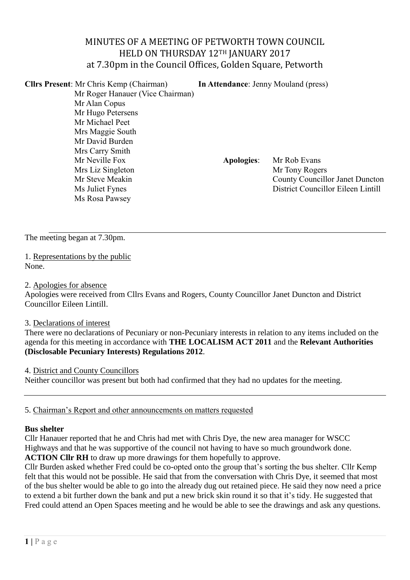# MINUTES OF A MEETING OF PETWORTH TOWN COUNCIL HELD ON THURSDAY 12TH JANUARY 2017 at 7.30pm in the Council Offices, Golden Square, Petworth

| <b>Clirs Present:</b> Mr Chris Kemp (Chairman) | <b>In Attendance: Jenny Mouland (press)</b> |                                        |  |
|------------------------------------------------|---------------------------------------------|----------------------------------------|--|
| Mr Roger Hanauer (Vice Chairman)               |                                             |                                        |  |
| Mr Alan Copus                                  |                                             |                                        |  |
| Mr Hugo Petersens                              |                                             |                                        |  |
| Mr Michael Peet                                |                                             |                                        |  |
| Mrs Maggie South                               |                                             |                                        |  |
| Mr David Burden                                |                                             |                                        |  |
| Mrs Carry Smith                                |                                             |                                        |  |
| Mr Neville Fox                                 | <b>Apologies:</b>                           | Mr Rob Evans                           |  |
| Mrs Liz Singleton                              |                                             | Mr Tony Rogers                         |  |
| Mr Steve Meakin                                |                                             | <b>County Councillor Janet Duncton</b> |  |
| Ms Juliet Fynes                                |                                             | District Councillor Eileen Lintill     |  |
| Ms Rosa Pawsey                                 |                                             |                                        |  |
|                                                |                                             |                                        |  |

The meeting began at 7.30pm.

1. Representations by the public None.

2. Apologies for absence

Apologies were received from Cllrs Evans and Rogers, County Councillor Janet Duncton and District Councillor Eileen Lintill.

#### 3. Declarations of interest

There were no declarations of Pecuniary or non-Pecuniary interests in relation to any items included on the agenda for this meeting in accordance with **THE LOCALISM ACT 2011** and the **Relevant Authorities (Disclosable Pecuniary Interests) Regulations 2012**.

4. District and County Councillors

Neither councillor was present but both had confirmed that they had no updates for the meeting.

5. Chairman's Report and other announcements on matters requested

#### **Bus shelter**

Cllr Hanauer reported that he and Chris had met with Chris Dye, the new area manager for WSCC Highways and that he was supportive of the council not having to have so much groundwork done. **ACTION Cllr RH** to draw up more drawings for them hopefully to approve.

Cllr Burden asked whether Fred could be co-opted onto the group that's sorting the bus shelter. Cllr Kemp felt that this would not be possible. He said that from the conversation with Chris Dye, it seemed that most of the bus shelter would be able to go into the already dug out retained piece. He said they now need a price to extend a bit further down the bank and put a new brick skin round it so that it's tidy. He suggested that Fred could attend an Open Spaces meeting and he would be able to see the drawings and ask any questions.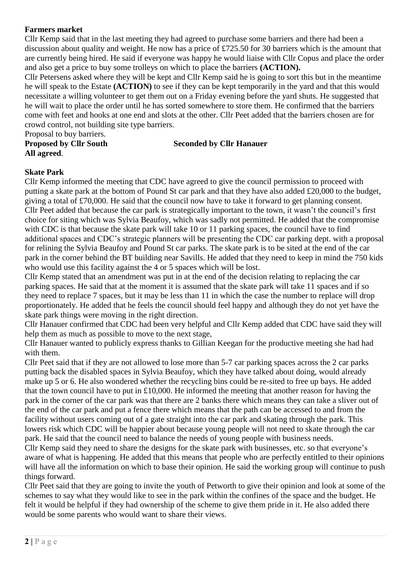## **Farmers market**

Cllr Kemp said that in the last meeting they had agreed to purchase some barriers and there had been a discussion about quality and weight. He now has a price of £725.50 for 30 barriers which is the amount that are currently being hired. He said if everyone was happy he would liaise with Cllr Copus and place the order and also get a price to buy some trolleys on which to place the barriers **(ACTION).** 

Cllr Petersens asked where they will be kept and Cllr Kemp said he is going to sort this but in the meantime he will speak to the Estate **(ACTION)** to see if they can be kept temporarily in the yard and that this would necessitate a willing volunteer to get them out on a Friday evening before the yard shuts. He suggested that he will wait to place the order until he has sorted somewhere to store them. He confirmed that the barriers come with feet and hooks at one end and slots at the other. Cllr Peet added that the barriers chosen are for crowd control, not building site type barriers.

Proposal to buy barriers.

**Proposed by Cllr South Seconded by Cllr Hanauer**

# **All agreed**.

**Skate Park** Cllr Kemp informed the meeting that CDC have agreed to give the council permission to proceed with putting a skate park at the bottom of Pound St car park and that they have also added £20,000 to the budget, giving a total of £70,000. He said that the council now have to take it forward to get planning consent. Cllr Peet added that because the car park is strategically important to the town, it wasn't the council's first choice for siting which was Sylvia Beaufoy, which was sadly not permitted. He added that the compromise with CDC is that because the skate park will take 10 or 11 parking spaces, the council have to find additional spaces and CDC's strategic planners will be presenting the CDC car parking dept. with a proposal for relining the Sylvia Beaufoy and Pound St car parks. The skate park is to be sited at the end of the car park in the corner behind the BT building near Savills. He added that they need to keep in mind the 750 kids who would use this facility against the 4 or 5 spaces which will be lost.

Cllr Kemp stated that an amendment was put in at the end of the decision relating to replacing the car parking spaces. He said that at the moment it is assumed that the skate park will take 11 spaces and if so they need to replace 7 spaces, but it may be less than 11 in which the case the number to replace will drop proportionately. He added that he feels the council should feel happy and although they do not yet have the skate park things were moving in the right direction.

Cllr Hanauer confirmed that CDC had been very helpful and Cllr Kemp added that CDC have said they will help them as much as possible to move to the next stage,

Cllr Hanauer wanted to publicly express thanks to Gillian Keegan for the productive meeting she had had with them.

Cllr Peet said that if they are not allowed to lose more than 5-7 car parking spaces across the 2 car parks putting back the disabled spaces in Sylvia Beaufoy, which they have talked about doing, would already make up 5 or 6. He also wondered whether the recycling bins could be re-sited to free up bays. He added that the town council have to put in £10,000. He informed the meeting that another reason for having the park in the corner of the car park was that there are 2 banks there which means they can take a sliver out of the end of the car park and put a fence there which means that the path can be accessed to and from the facility without users coming out of a gate straight into the car park and skating through the park. This lowers risk which CDC will be happier about because young people will not need to skate through the car park. He said that the council need to balance the needs of young people with business needs.

Cllr Kemp said they need to share the designs for the skate park with businesses, etc. so that everyone's aware of what is happening. He added that this means that people who are perfectly entitled to their opinions will have all the information on which to base their opinion. He said the working group will continue to push things forward.

Cllr Peet said that they are going to invite the youth of Petworth to give their opinion and look at some of the schemes to say what they would like to see in the park within the confines of the space and the budget. He felt it would be helpful if they had ownership of the scheme to give them pride in it. He also added there would be some parents who would want to share their views.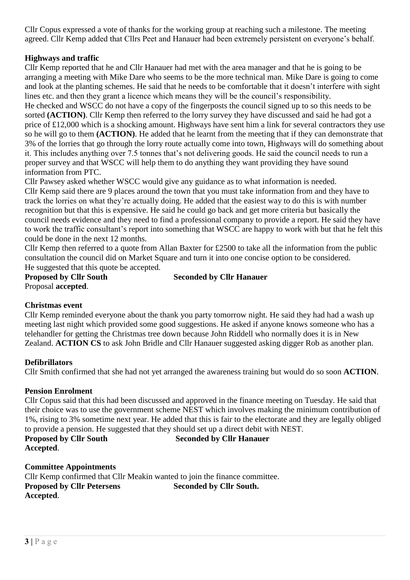Cllr Copus expressed a vote of thanks for the working group at reaching such a milestone. The meeting agreed. Cllr Kemp added that Cllrs Peet and Hanauer had been extremely persistent on everyone's behalf.

# **Highways and traffic**

Cllr Kemp reported that he and Cllr Hanauer had met with the area manager and that he is going to be arranging a meeting with Mike Dare who seems to be the more technical man. Mike Dare is going to come and look at the planting schemes. He said that he needs to be comfortable that it doesn't interfere with sight lines etc. and then they grant a licence which means they will be the council's responsibility.

He checked and WSCC do not have a copy of the fingerposts the council signed up to so this needs to be sorted **(ACTION)**. Cllr Kemp then referred to the lorry survey they have discussed and said he had got a price of £12,000 which is a shocking amount. Highways have sent him a link for several contractors they use so he will go to them **(ACTION)**. He added that he learnt from the meeting that if they can demonstrate that 3% of the lorries that go through the lorry route actually come into town, Highways will do something about it. This includes anything over 7.5 tonnes that's not delivering goods. He said the council needs to run a proper survey and that WSCC will help them to do anything they want providing they have sound information from PTC.

Cllr Pawsey asked whether WSCC would give any guidance as to what information is needed. Cllr Kemp said there are 9 places around the town that you must take information from and they have to track the lorries on what they're actually doing. He added that the easiest way to do this is with number recognition but that this is expensive. He said he could go back and get more criteria but basically the council needs evidence and they need to find a professional company to provide a report. He said they have to work the traffic consultant's report into something that WSCC are happy to work with but that he felt this could be done in the next 12 months.

Cllr Kemp then referred to a quote from Allan Baxter for £2500 to take all the information from the public consultation the council did on Market Square and turn it into one concise option to be considered. He suggested that this quote be accepted.

Proposal **accepted**.

**Proposed by Cllr South Seconded by Cllr Hanauer** 

#### **Christmas event**

Cllr Kemp reminded everyone about the thank you party tomorrow night. He said they had had a wash up meeting last night which provided some good suggestions. He asked if anyone knows someone who has a telehandler for getting the Christmas tree down because John Riddell who normally does it is in New Zealand. **ACTION CS** to ask John Bridle and Cllr Hanauer suggested asking digger Rob as another plan.

#### **Defibrillators**

Cllr Smith confirmed that she had not yet arranged the awareness training but would do so soon **ACTION**.

#### **Pension Enrolment**

Cllr Copus said that this had been discussed and approved in the finance meeting on Tuesday. He said that their choice was to use the government scheme NEST which involves making the minimum contribution of 1%, rising to 3% sometime next year. He added that this is fair to the electorate and they are legally obliged to provide a pension. He suggested that they should set up a direct debit with NEST.

**Proposed by Cllr South Seconded by Cllr Hanauer Accepted**.

#### **Committee Appointments**

Cllr Kemp confirmed that Cllr Meakin wanted to join the finance committee. **Proposed by Cllr Petersens Seconded by Cllr South. Accepted**.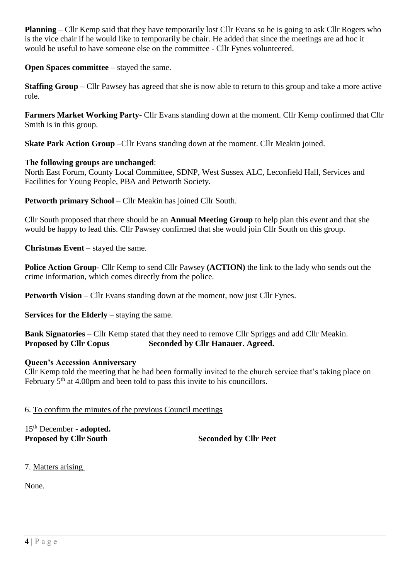**Planning** – Cllr Kemp said that they have temporarily lost Cllr Evans so he is going to ask Cllr Rogers who is the vice chair if he would like to temporarily be chair. He added that since the meetings are ad hoc it would be useful to have someone else on the committee - Cllr Fynes volunteered.

**Open Spaces committee** – stayed the same.

**Staffing Group** – Cllr Pawsey has agreed that she is now able to return to this group and take a more active role.

**Farmers Market Working Party**- Cllr Evans standing down at the moment. Cllr Kemp confirmed that Cllr Smith is in this group.

**Skate Park Action Group** –Cllr Evans standing down at the moment. Cllr Meakin joined.

## **The following groups are unchanged**:

North East Forum, County Local Committee, SDNP, West Sussex ALC, Leconfield Hall, Services and Facilities for Young People, PBA and Petworth Society.

**Petworth primary School** – Cllr Meakin has joined Cllr South.

Cllr South proposed that there should be an **Annual Meeting Group** to help plan this event and that she would be happy to lead this. Cllr Pawsey confirmed that she would join Cllr South on this group.

**Christmas Event** – stayed the same.

**Police Action Group**- Cllr Kemp to send Cllr Pawsey **(ACTION)** the link to the lady who sends out the crime information, which comes directly from the police.

**Petworth Vision** – Cllr Evans standing down at the moment, now just Cllr Fynes.

**Services for the Elderly** – staying the same.

**Bank Signatories** – Cllr Kemp stated that they need to remove Cllr Spriggs and add Cllr Meakin. **Proposed by Cllr Copus Seconded by Cllr Hanauer. Agreed.** 

## **Queen's Accession Anniversary**

Cllr Kemp told the meeting that he had been formally invited to the church service that's taking place on February  $5<sup>th</sup>$  at 4.00pm and been told to pass this invite to his councillors.

6. To confirm the minutes of the previous Council meetings

15th December - **adopted. Proposed by Cllr South Seconded by Cllr Peet** 

7. Matters arising

None.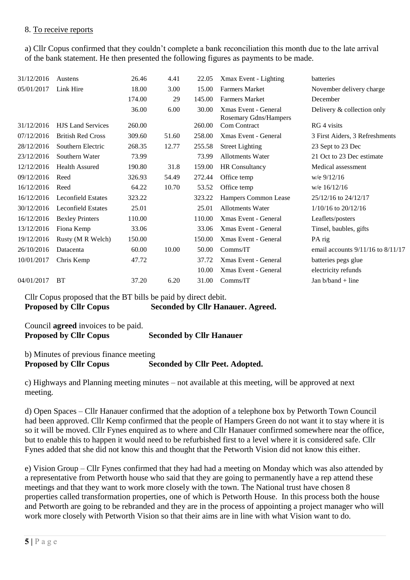#### 8. To receive reports

a) Cllr Copus confirmed that they couldn't complete a bank reconciliation this month due to the late arrival of the bank statement. He then presented the following figures as payments to be made.

| 31/12/2016 | Austens                   | 26.46  | 4.41  | 22.05  | Xmax Event - Lighting                                | batteries                             |
|------------|---------------------------|--------|-------|--------|------------------------------------------------------|---------------------------------------|
| 05/01/2017 | Link Hire                 | 18.00  | 3.00  | 15.00  | <b>Farmers Market</b>                                | November delivery charge.             |
|            |                           | 174.00 | 29    | 145.00 | <b>Farmers Market</b>                                | December                              |
|            |                           | 36.00  | 6.00  | 30.00  | Xmas Event - General<br><b>Rosemary Gdns/Hampers</b> | Delivery & collection only            |
| 31/12/2016 | <b>HJS</b> Land Services  | 260.00 |       | 260.00 | <b>Com Contract</b>                                  | RG 4 visits                           |
| 07/12/2016 | <b>British Red Cross</b>  | 309.60 | 51.60 | 258.00 | Xmas Event - General                                 | 3 First Aiders, 3 Refreshments        |
| 28/12/2016 | Southern Electric         | 268.35 | 12.77 | 255.58 | <b>Street Lighting</b>                               | 23 Sept to 23 Dec                     |
| 23/12/2016 | Southern Water            | 73.99  |       | 73.99  | <b>Allotments Water</b>                              | 21 Oct to 23 Dec estimate             |
| 12/12/2016 | <b>Health Assured</b>     | 190.80 | 31.8  | 159.00 | HR Consultancy                                       | Medical assessment                    |
| 09/12/2016 | Reed                      | 326.93 | 54.49 | 272.44 | Office temp                                          | $w/e$ 9/12/16                         |
| 16/12/2016 | Reed                      | 64.22  | 10.70 | 53.52  | Office temp                                          | w/e 16/12/16                          |
| 16/12/2016 | <b>Leconfield Estates</b> | 323.22 |       | 323.22 | Hampers Common Lease                                 | 25/12/16 to 24/12/17                  |
| 30/12/2016 | <b>Leconfield Estates</b> | 25.01  |       | 25.01  | <b>Allotments Water</b>                              | $1/10/16$ to $20/12/16$               |
| 16/12/2016 | <b>Bexley Printers</b>    | 110.00 |       | 110.00 | Xmas Event - General                                 | Leaflets/posters                      |
| 13/12/2016 | Fiona Kemp                | 33.06  |       | 33.06  | Xmas Event - General                                 | Tinsel, baubles, gifts                |
| 19/12/2016 | Rusty (M R Welch)         | 150.00 |       | 150.00 | Xmas Event - General                                 | PA rig                                |
| 26/10/2016 | Datacenta                 | 60.00  | 10.00 | 50.00  | Comms/IT                                             | email accounts $9/11/16$ to $8/11/17$ |
| 10/01/2017 | Chris Kemp                | 47.72  |       | 37.72  | Xmas Event - General                                 | batteries pegs glue                   |
|            |                           |        |       | 10.00  | Xmas Event - General                                 | electricity refunds                   |
| 04/01/2017 | <b>BT</b>                 | 37.20  | 6.20  | 31.00  | Comms/IT                                             | Jan $b/b$ and + line                  |
|            |                           |        |       |        |                                                      |                                       |

Cllr Copus proposed that the BT bills be paid by direct debit. **Proposed by Cllr Copus** Seconded by Cllr Hanauer. Agreed.

Council **agreed** invoices to be paid. **Proposed by Cllr Copus Seconded by Cllr Hanauer** 

b) Minutes of previous finance meeting **Proposed by Cllr Copus Seconded by Cllr Peet. Adopted.** 

c) Highways and Planning meeting minutes – not available at this meeting, will be approved at next meeting.

d) Open Spaces – Cllr Hanauer confirmed that the adoption of a telephone box by Petworth Town Council had been approved. Cllr Kemp confirmed that the people of Hampers Green do not want it to stay where it is so it will be moved. Cllr Fynes enquired as to where and Cllr Hanauer confirmed somewhere near the office, but to enable this to happen it would need to be refurbished first to a level where it is considered safe. Cllr Fynes added that she did not know this and thought that the Petworth Vision did not know this either.

e) Vision Group – Cllr Fynes confirmed that they had had a meeting on Monday which was also attended by a representative from Petworth house who said that they are going to permanently have a rep attend these meetings and that they want to work more closely with the town. The National trust have chosen 8 properties called transformation properties, one of which is Petworth House. In this process both the house and Petworth are going to be rebranded and they are in the process of appointing a project manager who will work more closely with Petworth Vision so that their aims are in line with what Vision want to do.